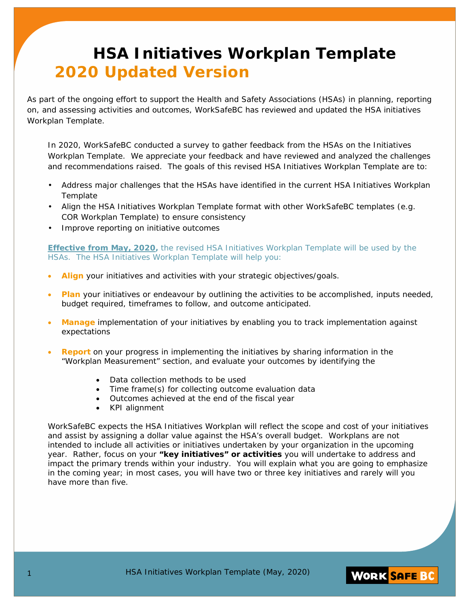#### **HSA Initiatives Workplan Template 2020 Updated Version**

As part of the ongoing effort to support the Health and Safety Associations (HSAs) in planning, reporting on, and assessing activities and outcomes, WorkSafeBC has reviewed and updated the HSA initiatives Workplan Template.

In 2020, WorkSafeBC conducted a survey to gather feedback from the HSAs on the Initiatives Workplan Template. We appreciate your feedback and have reviewed and analyzed the challenges and recommendations raised. The goals of this revised HSA Initiatives Workplan Template are to:

- Address major challenges that the HSAs have identified in the current HSA Initiatives Workplan **Template**
- Align the HSA Initiatives Workplan Template format with other WorkSafeBC templates (e.g. COR Workplan Template) to ensure consistency
- Improve reporting on initiative outcomes

**Effective from May, 2020,** the revised HSA Initiatives Workplan Template will be used by the HSAs. The HSA Initiatives Workplan Template will help you:

- **Align** your initiatives and activities with your strategic objectives/goals.
- Plan your initiatives or endeavour by outlining the activities to be accomplished, inputs needed, budget required, timeframes to follow, and outcome anticipated.
- **Manage** implementation of your initiatives by enabling you to track implementation against expectations
- **Report** on your progress in implementing the initiatives by sharing information in the "Workplan Measurement" section, and evaluate your outcomes by identifying the
	- Data collection methods to be used
	- Time frame(s) for collecting outcome evaluation data
	- Outcomes achieved at the end of the fiscal year
	- KPI alignment

WorkSafeBC expects the HSA Initiatives Workplan will reflect the scope and cost of your initiatives and assist by assigning a dollar value against the HSA's overall budget. Workplans are not intended to include all activities or initiatives undertaken by your organization in the upcoming year. Rather, focus on your **"key initiatives" or activities** you will undertake to address and impact the primary trends within your industry. You will explain what you are going to emphasize in the coming year; in most cases, you will have two or three key initiatives and rarely will you have more than five.

**WORK SAFE BC**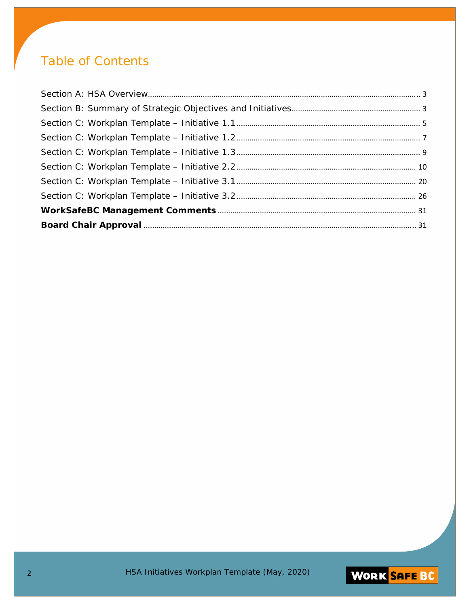#### **Table of Contents**

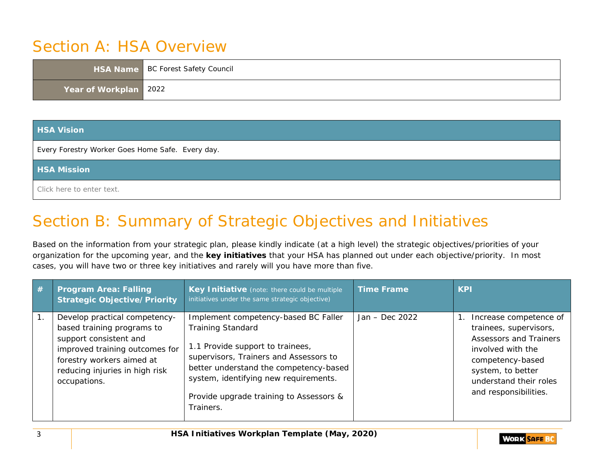#### Section A: HSA Overview

|                       | HSA Name BC Forest Safety Council |
|-----------------------|-----------------------------------|
| Year of Workplan 2022 |                                   |

| <b>HSA Vision</b>                                |
|--------------------------------------------------|
| Every Forestry Worker Goes Home Safe. Every day. |
| <b>HSA Mission</b>                               |
| Click here to enter text.                        |

#### Section B: Summary of Strategic Objectives and Initiatives

Based on the information from your strategic plan, please kindly indicate (at a high level) the strategic objectives/priorities of your organization for the upcoming year, and the **key initiatives** that your HSA has planned out under each objective/priority. In most cases, you will have two or three key initiatives and rarely will you have more than five.

| # | <b>Program Area: Falling</b><br><b>Strategic Objective/Priority</b>                                                                                                                                    | Key Initiative (note: there could be multiple<br>initiatives under the same strategic objective)                                                                                                                                                                                          | <b>Time Frame</b> | <b>KPI</b>                                                                                                                                                                                     |
|---|--------------------------------------------------------------------------------------------------------------------------------------------------------------------------------------------------------|-------------------------------------------------------------------------------------------------------------------------------------------------------------------------------------------------------------------------------------------------------------------------------------------|-------------------|------------------------------------------------------------------------------------------------------------------------------------------------------------------------------------------------|
|   | Develop practical competency-<br>based training programs to<br>support consistent and<br>improved training outcomes for<br>forestry workers aimed at<br>reducing injuries in high risk<br>occupations. | Implement competency-based BC Faller<br><b>Training Standard</b><br>1.1 Provide support to trainees,<br>supervisors, Trainers and Assessors to<br>better understand the competency-based<br>system, identifying new requirements.<br>Provide upgrade training to Assessors &<br>Trainers. | Jan - Dec 2022    | 1. Increase competence of<br>trainees, supervisors,<br>Assessors and Trainers<br>involved with the<br>competency-based<br>system, to better<br>understand their roles<br>and responsibilities. |

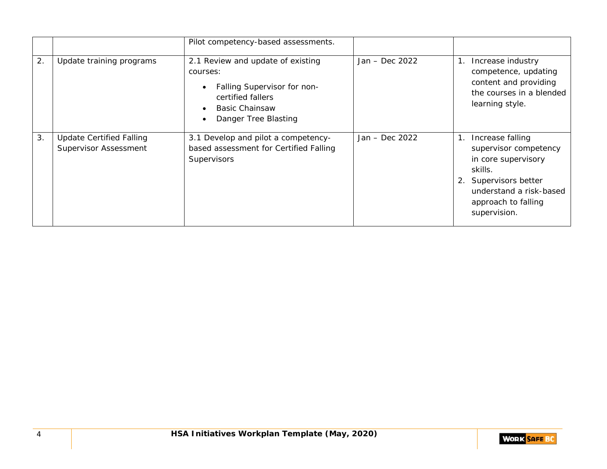|    |                                                                 | Pilot competency-based assessments.                                                                                                                |                |                                                                                                                                                                           |
|----|-----------------------------------------------------------------|----------------------------------------------------------------------------------------------------------------------------------------------------|----------------|---------------------------------------------------------------------------------------------------------------------------------------------------------------------------|
| 2. | Update training programs                                        | 2.1 Review and update of existing<br>courses:<br>Falling Supervisor for non-<br>certified fallers<br><b>Basic Chainsaw</b><br>Danger Tree Blasting | Jan - Dec 2022 | Increase industry<br>1.<br>competence, updating<br>content and providing<br>the courses in a blended<br>learning style.                                                   |
| 3. | <b>Update Certified Falling</b><br><b>Supervisor Assessment</b> | 3.1 Develop and pilot a competency-<br>based assessment for Certified Falling<br>Supervisors                                                       | Jan - Dec 2022 | 1. Increase falling<br>supervisor competency<br>in core supervisory<br>skills.<br>2. Supervisors better<br>understand a risk-based<br>approach to falling<br>supervision. |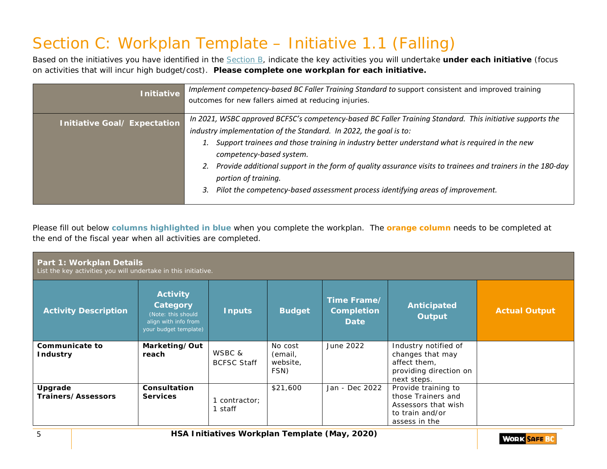## Section C: Workplan Template – Initiative 1.1 (Falling)

Based on the initiatives you have identified in the Section B, indicate the key activities you will undertake **under each initiative** (focus on activities that will incur high budget/cost). **Please complete one workplan for each initiative.** 

| Initiative                          | Implement competency-based BC Faller Training Standard to support consistent and improved training<br>outcomes for new fallers aimed at reducing injuries.                                                                                                                                                                                                                                                                                                                                                                                 |
|-------------------------------------|--------------------------------------------------------------------------------------------------------------------------------------------------------------------------------------------------------------------------------------------------------------------------------------------------------------------------------------------------------------------------------------------------------------------------------------------------------------------------------------------------------------------------------------------|
| <b>Initiative Goal/ Expectation</b> | In 2021, WSBC approved BCFSC's competency-based BC Faller Training Standard. This initiative supports the<br>industry implementation of the Standard. In 2022, the goal is to:<br>Support trainees and those training in industry better understand what is required in the new<br>competency-based system.<br>Provide additional support in the form of quality assurance visits to trainees and trainers in the 180-day<br>portion of training.<br>Pilot the competency-based assessment process identifying areas of improvement.<br>3. |

| Part 1: Workplan Details<br>List the key activities you will undertake in this initiative. |                                                                                                    |                              |                                        |                                                 |                                                                                                      |                      |  |  |
|--------------------------------------------------------------------------------------------|----------------------------------------------------------------------------------------------------|------------------------------|----------------------------------------|-------------------------------------------------|------------------------------------------------------------------------------------------------------|----------------------|--|--|
| <b>Activity Description</b>                                                                | <b>Activity</b><br>Category<br>(Note: this should<br>align with info from<br>your budget template) | <b>Inputs</b>                | <b>Budget</b>                          | Time Frame/<br><b>Completion</b><br><b>Date</b> | <b>Anticipated</b><br>Output                                                                         | <b>Actual Output</b> |  |  |
| <b>Communicate to</b><br>Industry                                                          | Marketing/Out<br>reach                                                                             | WSBC &<br><b>BCFSC Staff</b> | No cost<br>(email,<br>website,<br>FSN) | June 2022                                       | Industry notified of<br>changes that may<br>affect them,<br>providing direction on<br>next steps.    |                      |  |  |
| Upgrade<br>Trainers/Assessors                                                              | <b>Consultation</b><br><b>Services</b>                                                             | contractor;<br>staff         | \$21,600                               | Jan - Dec 2022                                  | Provide training to<br>those Trainers and<br>Assessors that wish<br>to train and/or<br>assess in the |                      |  |  |

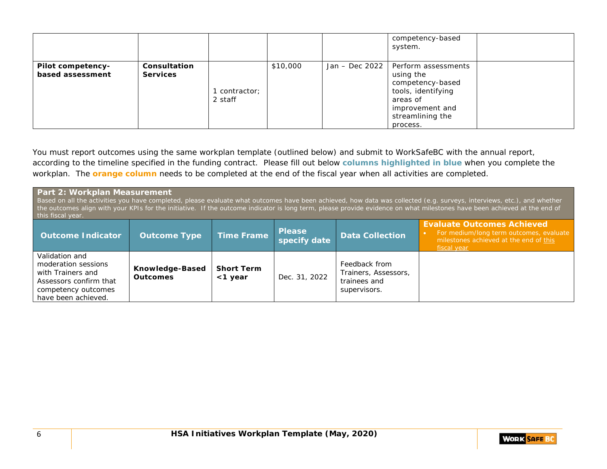|                                       |                                 |                        |          |                  | competency-based<br>system.                                                                                                               |
|---------------------------------------|---------------------------------|------------------------|----------|------------------|-------------------------------------------------------------------------------------------------------------------------------------------|
| Pilot competency-<br>based assessment | Consultation<br><b>Services</b> | contractor;<br>2 staff | \$10,000 | Jan - Dec $2022$ | Perform assessments<br>using the<br>competency-based<br>tools, identifying<br>areas of<br>improvement and<br>streamlining the<br>process. |

| <b>Part 2: Workplan Measurement</b><br>Based on all the activities you have completed, please evaluate what outcomes have been achieved, how data was collected (e.g. surveys, interviews, etc.), and whether<br>the outcomes align with your KPIs for the initiative. If the outcome indicator is long term, please provide evidence on what milestones have been achieved at the end of<br>this fiscal year. |                                    |                                 |               |                                                                       |  |  |  |  |
|----------------------------------------------------------------------------------------------------------------------------------------------------------------------------------------------------------------------------------------------------------------------------------------------------------------------------------------------------------------------------------------------------------------|------------------------------------|---------------------------------|---------------|-----------------------------------------------------------------------|--|--|--|--|
| <b>Evaluate Outcomes Achieved</b><br><b>Please</b><br>For medium/long term outcomes, evaluate<br><b>Time Frame</b><br><b>Data Collection</b><br><b>Outcome Indicator</b><br><b>Outcome Type</b><br>specify date<br>milestones achieved at the end of this<br>fiscal year                                                                                                                                       |                                    |                                 |               |                                                                       |  |  |  |  |
| Validation and<br>moderation sessions<br>with Trainers and<br>Assessors confirm that<br>competency outcomes<br>have been achieved.                                                                                                                                                                                                                                                                             | Knowledge-Based<br><b>Outcomes</b> | <b>Short Term</b><br>$<$ 1 year | Dec. 31, 2022 | Feedback from<br>Trainers, Assessors,<br>trainees and<br>supervisors. |  |  |  |  |

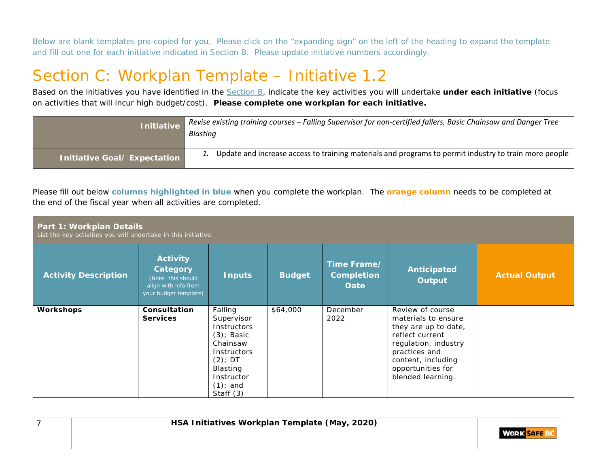*Below are blank templates pre-copied for you. Please click on the "expanding sign" on the left of the heading to expand the template and fill out one for each initiative indicated in Section B. Please update initiative numbers accordingly.* 

#### Section C: Workplan Template – Initiative 1.2

Based on the initiatives you have identified in the Section B, indicate the key activities you will undertake **under each initiative** (focus on activities that will incur high budget/cost). **Please complete one workplan for each initiative.** 

| <b>Initiative</b>            | Revise existing training courses – Falling Supervisor for non-certified fallers, Basic Chainsaw and Danger Tree<br><b>Blasting</b> |
|------------------------------|------------------------------------------------------------------------------------------------------------------------------------|
| Initiative Goal/ Expectation | Update and increase access to training materials and programs to permit industry to train more people                              |

| Part 1: Workplan Details<br>List the key activities you will undertake in this initiative. |                                                                                                    |                                                                                                                                                                      |               |                                                 |                                                                                                                                                                                             |                      |  |  |
|--------------------------------------------------------------------------------------------|----------------------------------------------------------------------------------------------------|----------------------------------------------------------------------------------------------------------------------------------------------------------------------|---------------|-------------------------------------------------|---------------------------------------------------------------------------------------------------------------------------------------------------------------------------------------------|----------------------|--|--|
| <b>Activity Description</b>                                                                | <b>Activity</b><br>Category<br>(Note: this should<br>align with info from<br>your budget template) | <b>Inputs</b>                                                                                                                                                        | <b>Budget</b> | Time Frame/<br><b>Completion</b><br><b>Date</b> | <b>Anticipated</b><br>Output                                                                                                                                                                | <b>Actual Output</b> |  |  |
| Workshops                                                                                  | Consultation<br><b>Services</b>                                                                    | Falling<br>Supervisor<br><b>Instructors</b><br>$(3)$ ; Basic<br>Chainsaw<br><b>Instructors</b><br>$(2)$ ; DT<br>Blasting<br>Instructor<br>$(1)$ ; and<br>Staff $(3)$ | \$64,000      | December<br>2022                                | Review of course<br>materials to ensure<br>they are up to date,<br>reflect current<br>regulation, industry<br>practices and<br>content, including<br>opportunities for<br>blended learning. |                      |  |  |

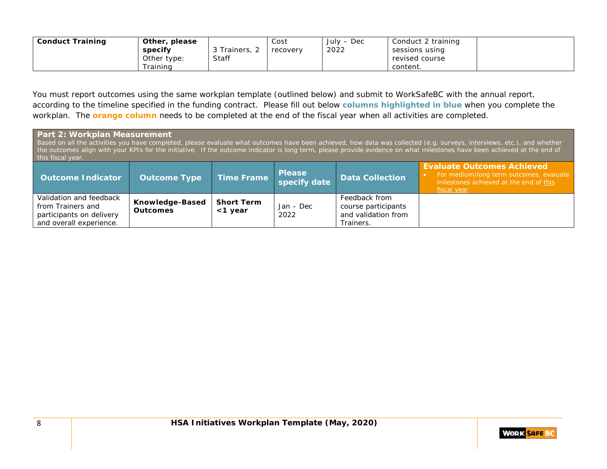| <b>Conduct Training</b> | Other, please |               | Cost     | $July - Dec$ | Conduct 2 training |  |
|-------------------------|---------------|---------------|----------|--------------|--------------------|--|
|                         | specify       | R Trainers, ∠ | recovery | 2022         | sessions using     |  |
|                         | Other type:   | Staff         |          |              | revised course     |  |
|                         | Training      |               |          |              | .content           |  |

| Part 2: Workplan Measurement<br>Based on all the activities you have completed, please evaluate what outcomes have been achieved, how data was collected (e.g. surveys, interviews, etc.), and whether<br>the outcomes align with your KPIs for the initiative. If the outcome indicator is long term, please provide evidence on what milestones have been achieved at the end of<br>this fiscal year. |                                    |                                 |                               |                                                                          |                                                                                                                                       |  |  |
|---------------------------------------------------------------------------------------------------------------------------------------------------------------------------------------------------------------------------------------------------------------------------------------------------------------------------------------------------------------------------------------------------------|------------------------------------|---------------------------------|-------------------------------|--------------------------------------------------------------------------|---------------------------------------------------------------------------------------------------------------------------------------|--|--|
| <b>Outcome Indicator</b>                                                                                                                                                                                                                                                                                                                                                                                | <b>Outcome Type</b>                | <b>Time Frame</b>               | <b>Please</b><br>specify date | <b>Data Collection</b>                                                   | <b>Evaluate Outcomes Achieved</b><br>For medium/long term outcomes, evaluate<br>milestones achieved at the end of this<br>fiscal year |  |  |
| Validation and feedback<br>from Trainers and<br>participants on delivery<br>and overall experience.                                                                                                                                                                                                                                                                                                     | Knowledge-Based<br><b>Outcomes</b> | <b>Short Term</b><br>$<$ 1 year | $Jan - Dec$<br>2022           | Feedback from<br>course participants<br>and validation from<br>Trainers. |                                                                                                                                       |  |  |

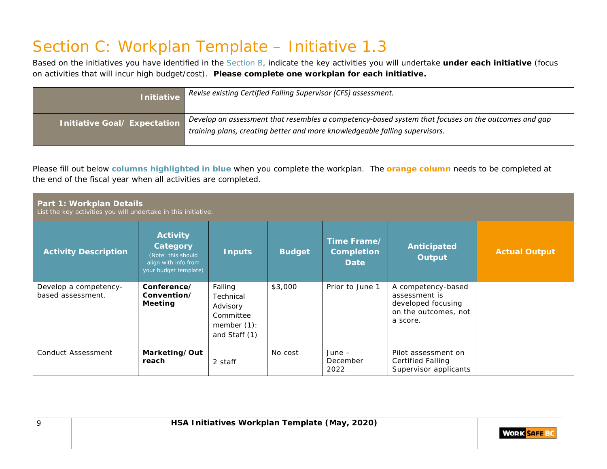### Section C: Workplan Template – Initiative 1.3

Based on the initiatives you have identified in the Section B, indicate the key activities you will undertake **under each initiative** (focus on activities that will incur high budget/cost). **Please complete one workplan for each initiative.** 

| <b>Initiative</b>            | Revise existing Certified Falling Supervisor (CFS) assessment.                                                                                                                     |
|------------------------------|------------------------------------------------------------------------------------------------------------------------------------------------------------------------------------|
| Initiative Goal/ Expectation | Develop an assessment that resembles a competency-based system that focuses on the outcomes and gap<br>training plans, creating better and more knowledgeable falling supervisors. |

| Part 1: Workplan Details<br>List the key activities you will undertake in this initiative. |                                                                                                    |                                                                                  |               |                                                 |                                                                                               |                      |  |  |
|--------------------------------------------------------------------------------------------|----------------------------------------------------------------------------------------------------|----------------------------------------------------------------------------------|---------------|-------------------------------------------------|-----------------------------------------------------------------------------------------------|----------------------|--|--|
| <b>Activity Description</b>                                                                | <b>Activity</b><br>Category<br>(Note: this should<br>align with info from<br>your budget template) | <b>Inputs</b>                                                                    | <b>Budget</b> | Time Frame/<br><b>Completion</b><br><b>Date</b> | <b>Anticipated</b><br>Output                                                                  | <b>Actual Output</b> |  |  |
| Develop a competency-<br>based assessment.                                                 | Conference/<br>Convention/<br>Meeting                                                              | Falling<br>Technical<br>Advisory<br>Committee<br>member $(1)$ :<br>and Staff (1) | \$3,000       | Prior to June 1                                 | A competency-based<br>assessment is<br>developed focusing<br>on the outcomes, not<br>a score. |                      |  |  |
| <b>Conduct Assessment</b>                                                                  | Marketing/Out<br>reach                                                                             | 2 staff                                                                          | No cost       | June $-$<br><b>December</b><br>2022             | Pilot assessment on<br><b>Certified Falling</b><br>Supervisor applicants                      |                      |  |  |

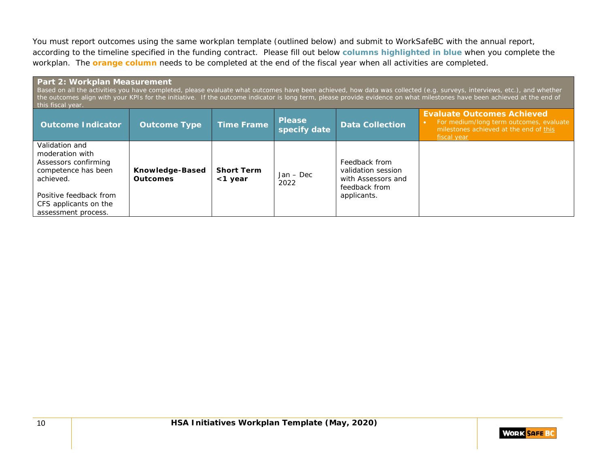#### **Part 2: Workplan Measurement**

Based on all the activities you have completed, please evaluate what outcomes have been achieved, how data was collected (e.g. surveys, interviews, etc.), and whether the outcomes align with your KPIs for the initiative. If the outcome indicator is long term, please provide evidence on what milestones have been achieved at the end of this fiscal year.

| <b>Outcome Indicator</b>                                                                                                                                                | <b>Outcome Type</b>                | <b>Time Frame</b>               | <b>Please</b><br>specify date | <b>Data Collection</b>                                                                    | <b>Evaluate Outcomes Achieved</b><br>For medium/long term outcomes, evaluate<br>milestones achieved at the end of this<br>fiscal year |
|-------------------------------------------------------------------------------------------------------------------------------------------------------------------------|------------------------------------|---------------------------------|-------------------------------|-------------------------------------------------------------------------------------------|---------------------------------------------------------------------------------------------------------------------------------------|
| Validation and<br>moderation with<br>Assessors confirming<br>competence has been<br>achieved.<br>Positive feedback from<br>CFS applicants on the<br>assessment process. | Knowledge-Based<br><b>Outcomes</b> | <b>Short Term</b><br>$<$ 1 year | $Jan - Dec$<br>2022           | Feedback from<br>validation session<br>with Assessors and<br>feedback from<br>applicants. |                                                                                                                                       |

**HSA Initiatives Workplan Template (May, 2020)** 

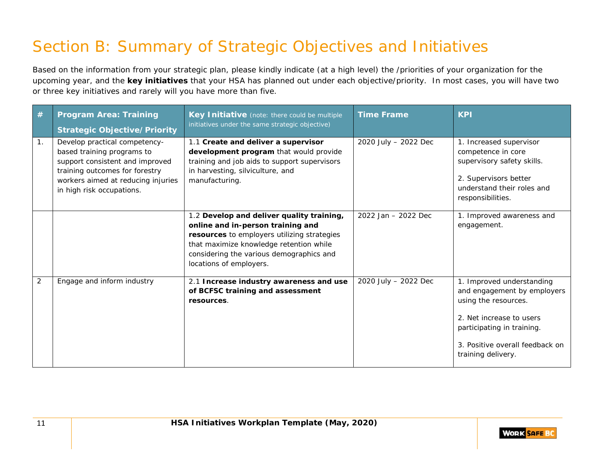# Section B: Summary of Strategic Objectives and Initiatives

Based on the information from your strategic plan, please kindly indicate (at a high level) the /priorities of your organization for the upcoming year, and the **key initiatives** that your HSA has planned out under each objective/priority. In most cases, you will have two or three key initiatives and rarely will you have more than five.

| #  | <b>Program Area: Training</b><br><b>Strategic Objective/Priority</b>                                                                                                                                | Key Initiative (note: there could be multiple<br>initiatives under the same strategic objective)                                                                                                                                                | <b>Time Frame</b>    | <b>KPI</b>                                                                                                                                                                                          |
|----|-----------------------------------------------------------------------------------------------------------------------------------------------------------------------------------------------------|-------------------------------------------------------------------------------------------------------------------------------------------------------------------------------------------------------------------------------------------------|----------------------|-----------------------------------------------------------------------------------------------------------------------------------------------------------------------------------------------------|
| 1. | Develop practical competency-<br>based training programs to<br>support consistent and improved<br>training outcomes for forestry<br>workers aimed at reducing injuries<br>in high risk occupations. | 1.1 Create and deliver a supervisor<br>development program that would provide<br>training and job aids to support supervisors<br>in harvesting, silviculture, and<br>manufacturing.                                                             | 2020 July - 2022 Dec | 1. Increased supervisor<br>competence in core<br>supervisory safety skills.<br>2. Supervisors better<br>understand their roles and<br>responsibilities.                                             |
|    |                                                                                                                                                                                                     | 1.2 Develop and deliver quality training,<br>online and in-person training and<br>resources to employers utilizing strategies<br>that maximize knowledge retention while<br>considering the various demographics and<br>locations of employers. | 2022 Jan - 2022 Dec  | 1. Improved awareness and<br>engagement.                                                                                                                                                            |
| 2  | Engage and inform industry                                                                                                                                                                          | 2.1 Increase industry awareness and use<br>of BCFSC training and assessment<br>resources.                                                                                                                                                       | 2020 July - 2022 Dec | 1. Improved understanding<br>and engagement by employers<br>using the resources.<br>2. Net increase to users<br>participating in training.<br>3. Positive overall feedback on<br>training delivery. |

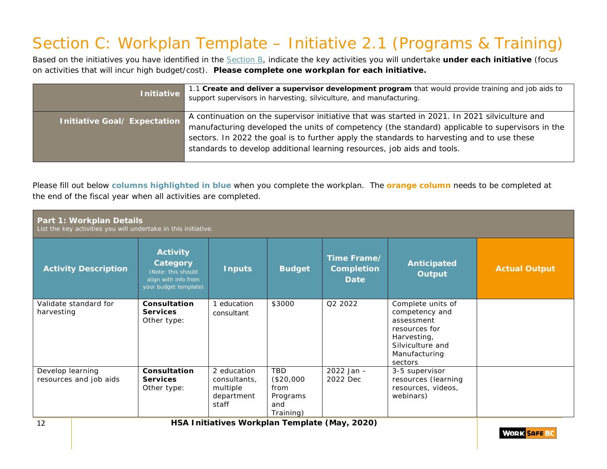## Section C: Workplan Template – Initiative 2.1 (Programs & Training)

Based on the initiatives you have identified in the Section B, indicate the key activities you will undertake **under each initiative** (focus on activities that will incur high budget/cost). **Please complete one workplan for each initiative.** 

| <b>Initiative</b>            | 1.1 Create and deliver a supervisor development program that would provide training and job aids to<br>support supervisors in harvesting, silviculture, and manufacturing.                                                                                                                                                                                                 |
|------------------------------|----------------------------------------------------------------------------------------------------------------------------------------------------------------------------------------------------------------------------------------------------------------------------------------------------------------------------------------------------------------------------|
| Initiative Goal/ Expectation | A continuation on the supervisor initiative that was started in 2021. In 2021 silviculture and<br>manufacturing developed the units of competency (the standard) applicable to supervisors in the<br>sectors. In 2022 the goal is to further apply the standards to harvesting and to use these<br>standards to develop additional learning resources, job aids and tools. |

Please fill out below **columns highlighted in blue** when you complete the workplan. The **orange column** needs to be completed at the end of the fiscal year when all activities are completed.

| Part 1: Workplan Details<br>List the key activities you will undertake in this initiative. |                                                                                                    |                                                                |                                                         |                                          |                                                                                                                                   |                      |  |
|--------------------------------------------------------------------------------------------|----------------------------------------------------------------------------------------------------|----------------------------------------------------------------|---------------------------------------------------------|------------------------------------------|-----------------------------------------------------------------------------------------------------------------------------------|----------------------|--|
| <b>Activity Description</b>                                                                | <b>Activity</b><br>Category<br>(Note: this should<br>align with info from<br>your budget template) | <b>Inputs</b>                                                  | <b>Budget</b>                                           | Time Frame/<br><b>Completion</b><br>Date | <b>Anticipated</b><br><b>Output</b>                                                                                               | <b>Actual Output</b> |  |
| Validate standard for<br>harvesting                                                        | <b>Consultation</b><br><b>Services</b><br>Other type:                                              | education<br>consultant                                        | \$3000                                                  | Q <sub>2</sub> 2022                      | Complete units of<br>competency and<br>assessment<br>resources for<br>Harvesting,<br>Silviculture and<br>Manufacturing<br>sectors |                      |  |
| Develop learning<br>resources and job aids                                                 | <b>Consultation</b><br><b>Services</b><br>Other type:                                              | 2 education<br>consultants,<br>multiple<br>department<br>staff | TBD<br>\$20,000<br>from<br>Programs<br>and<br>Training) | $2022$ Jan $-$<br>2022 Dec               | 3-5 supervisor<br>resources (learning<br>resources, videos,<br>webinars)                                                          |                      |  |

12

**HSA Initiatives Workplan Template (May, 2020)** 

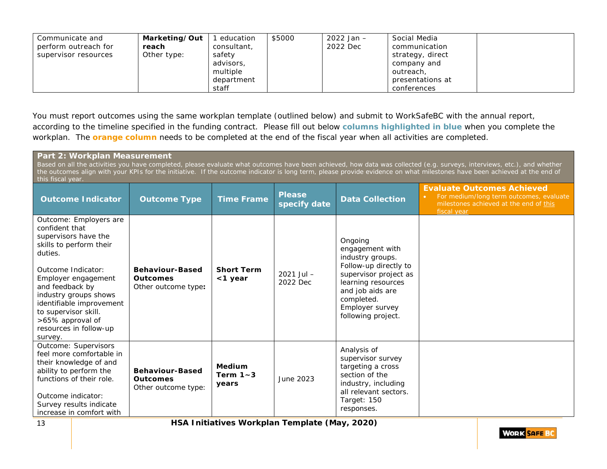| Communicate and<br>perform outreach for<br>supervisor resources | Marketing/Out<br>reach<br>Other type: | education<br>consultant,<br>safety<br>advisors,<br>multiple | <i>\$5000</i> | 2022 Jan –<br><i>2022 Dec</i> | Social Media<br>communication<br>strategy, direct<br>company and<br>outreach. |  |
|-----------------------------------------------------------------|---------------------------------------|-------------------------------------------------------------|---------------|-------------------------------|-------------------------------------------------------------------------------|--|
|                                                                 |                                       | department                                                  |               |                               | presentations at                                                              |  |
|                                                                 |                                       | staff                                                       |               |                               | conferences                                                                   |  |

| Part 2: Workplan Measurement<br>Based on all the activities you have completed, please evaluate what outcomes have been achieved, how data was collected (e.g. surveys, interviews, etc.), and whether<br>the outcomes align with your KPIs for the initiative. If the outcome indicator is long term, please provide evidence on what milestones have been achieved at the end of<br>this fiscal year. |                                                                  |                                        |                               |                                                                                                                                                                                                   |                                                                                                                                       |  |  |
|---------------------------------------------------------------------------------------------------------------------------------------------------------------------------------------------------------------------------------------------------------------------------------------------------------------------------------------------------------------------------------------------------------|------------------------------------------------------------------|----------------------------------------|-------------------------------|---------------------------------------------------------------------------------------------------------------------------------------------------------------------------------------------------|---------------------------------------------------------------------------------------------------------------------------------------|--|--|
| <b>Outcome Indicator</b>                                                                                                                                                                                                                                                                                                                                                                                | <b>Outcome Type</b>                                              | <b>Time Frame</b>                      | <b>Please</b><br>specify date | <b>Data Collection</b>                                                                                                                                                                            | <b>Evaluate Outcomes Achieved</b><br>For medium/long term outcomes, evaluate<br>milestones achieved at the end of this<br>fiscal year |  |  |
| Outcome: Employers are<br>confident that<br>supervisors have the<br>skills to perform their<br>duties.<br>Outcome Indicator:<br>Employer engagement<br>and feedback by<br>industry groups shows<br>identifiable improvement<br>to supervisor skill.<br>>65% approval of<br>resources in follow-up<br>survey.                                                                                            | <b>Behaviour-Based</b><br><b>Outcomes</b><br>Other outcome type: | <b>Short Term</b><br><1 year           | $2021$ Jul $-$<br>2022 Dec    | Ongoing<br>engagement with<br>industry groups.<br>Follow-up directly to<br>supervisor project as<br>learning resources<br>and job aids are<br>completed.<br>Employer survey<br>following project. |                                                                                                                                       |  |  |
| Outcome: Supervisors<br>feel more comfortable in<br>their knowledge of and<br>ability to perform the<br>functions of their role.<br>Outcome indicator:<br>Survey results indicate<br>increase in comfort with                                                                                                                                                                                           | <b>Behaviour-Based</b><br><b>Outcomes</b><br>Other outcome type: | <b>Medium</b><br>Term $1 - 3$<br>years | June 2023                     | Analysis of<br>supervisor survey<br>targeting a cross<br>section of the<br>industry, including<br>all relevant sectors.<br>Target: 150<br>responses.                                              |                                                                                                                                       |  |  |

**HSA Initiatives Workplan Template (May, 2020)** 

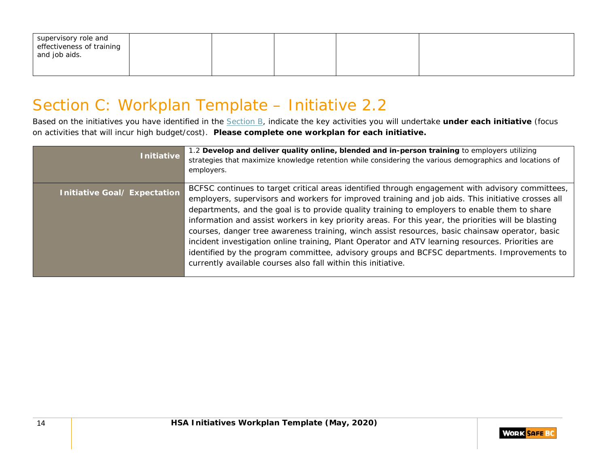| supervisory role and<br>effectiveness of training<br>and job aids. |  |  |  |
|--------------------------------------------------------------------|--|--|--|
|                                                                    |  |  |  |

#### Section C: Workplan Template – Initiative 2.2

Based on the initiatives you have identified in the Section B, indicate the key activities you will undertake **under each initiative** (focus on activities that will incur high budget/cost). **Please complete one workplan for each initiative.** 

| <b>Initiative</b>                   | 1.2 Develop and deliver quality online, blended and in-person training to employers utilizing<br>strategies that maximize knowledge retention while considering the various demographics and locations of<br>employers.                                                                                                                                                                                                                                                                                                                                                                                                                                                                                                                                                                 |
|-------------------------------------|-----------------------------------------------------------------------------------------------------------------------------------------------------------------------------------------------------------------------------------------------------------------------------------------------------------------------------------------------------------------------------------------------------------------------------------------------------------------------------------------------------------------------------------------------------------------------------------------------------------------------------------------------------------------------------------------------------------------------------------------------------------------------------------------|
| <b>Initiative Goal/ Expectation</b> | BCFSC continues to target critical areas identified through engagement with advisory committees,<br>employers, supervisors and workers for improved training and job aids. This initiative crosses all<br>departments, and the goal is to provide quality training to employers to enable them to share<br>information and assist workers in key priority areas. For this year, the priorities will be blasting<br>courses, danger tree awareness training, winch assist resources, basic chainsaw operator, basic<br>incident investigation online training, Plant Operator and ATV learning resources. Priorities are<br>identified by the program committee, advisory groups and BCFSC departments. Improvements to<br>currently available courses also fall within this initiative. |

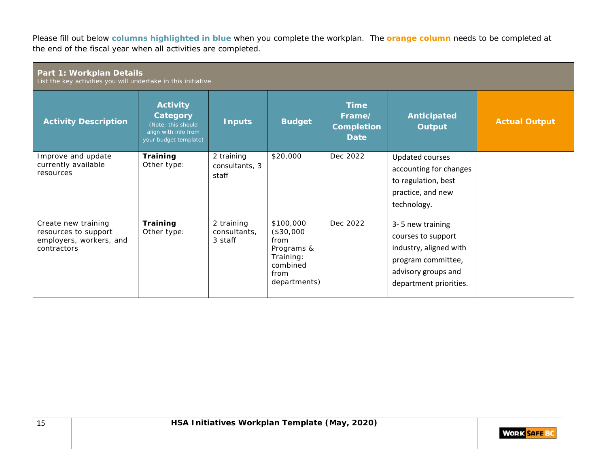| Part 1: Workplan Details<br>List the key activities you will undertake in this initiative. |                                                                                                    |                                       |                                                                                              |                                                           |                                                                                                                                         |                      |  |  |
|--------------------------------------------------------------------------------------------|----------------------------------------------------------------------------------------------------|---------------------------------------|----------------------------------------------------------------------------------------------|-----------------------------------------------------------|-----------------------------------------------------------------------------------------------------------------------------------------|----------------------|--|--|
| <b>Activity Description</b>                                                                | <b>Activity</b><br>Category<br>(Note: this should<br>align with info from<br>your budget template) | <b>Inputs</b>                         | <b>Budget</b>                                                                                | <b>Time</b><br>Frame/<br><b>Completion</b><br><b>Date</b> | <b>Anticipated</b><br><b>Output</b>                                                                                                     | <b>Actual Output</b> |  |  |
| Improve and update<br>currently available<br>resources                                     | Training<br>Other type:                                                                            | 2 training<br>consultants, 3<br>staff | \$20,000                                                                                     | Dec 2022                                                  | Updated courses<br>accounting for changes<br>to regulation, best<br>practice, and new<br>technology.                                    |                      |  |  |
| Create new training<br>resources to support<br>employers, workers, and<br>contractors      | Training<br>Other type:                                                                            | 2 training<br>consultants,<br>3 staff | \$100,000<br>\$30,000<br>from<br>Programs &<br>Training:<br>combined<br>from<br>departments) | Dec 2022                                                  | 3-5 new training<br>courses to support<br>industry, aligned with<br>program committee,<br>advisory groups and<br>department priorities. |                      |  |  |

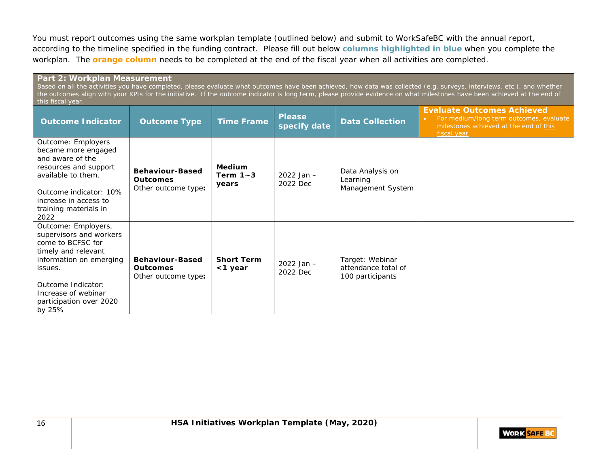| Part 2: Workplan Measurement<br>this fiscal year.                                                                                                                                                                         |                                                                  |                                        |                               |                                                            | Based on all the activities you have completed, please evaluate what outcomes have been achieved, how data was collected (e.g. surveys, interviews, etc.), and whether<br>the outcomes align with your KPIs for the initiative. If the outcome indicator is long term, please provide evidence on what milestones have been achieved at the end of |
|---------------------------------------------------------------------------------------------------------------------------------------------------------------------------------------------------------------------------|------------------------------------------------------------------|----------------------------------------|-------------------------------|------------------------------------------------------------|----------------------------------------------------------------------------------------------------------------------------------------------------------------------------------------------------------------------------------------------------------------------------------------------------------------------------------------------------|
| <b>Outcome Indicator</b>                                                                                                                                                                                                  | <b>Outcome Type</b>                                              | <b>Time Frame</b>                      | <b>Please</b><br>specify date | <b>Data Collection</b>                                     | <b>Evaluate Outcomes Achieved</b><br>For medium/long term outcomes, evaluate<br>milestones achieved at the end of this<br>fiscal year                                                                                                                                                                                                              |
| Outcome: Employers<br>became more engaged<br>and aware of the<br>resources and support<br>available to them.<br>Outcome indicator: 10%<br>increase in access to<br>training materials in<br>2022                          | <b>Behaviour-Based</b><br><b>Outcomes</b><br>Other outcome type: | <b>Medium</b><br>Term $1 - 3$<br>years | $2022$ Jan $-$<br>2022 Dec    | Data Analysis on<br>Learning<br>Management System          |                                                                                                                                                                                                                                                                                                                                                    |
| Outcome: Employers,<br>supervisors and workers<br>come to BCFSC for<br>timely and relevant<br>information on emerging<br><i>issues.</i><br>Outcome Indicator:<br>Increase of webinar<br>participation over 2020<br>by 25% | <b>Behaviour-Based</b><br><b>Outcomes</b><br>Other outcome type: | <b>Short Term</b><br><1 year           | $2022$ Jan $-$<br>2022 Dec    | Target: Webinar<br>attendance total of<br>100 participants |                                                                                                                                                                                                                                                                                                                                                    |

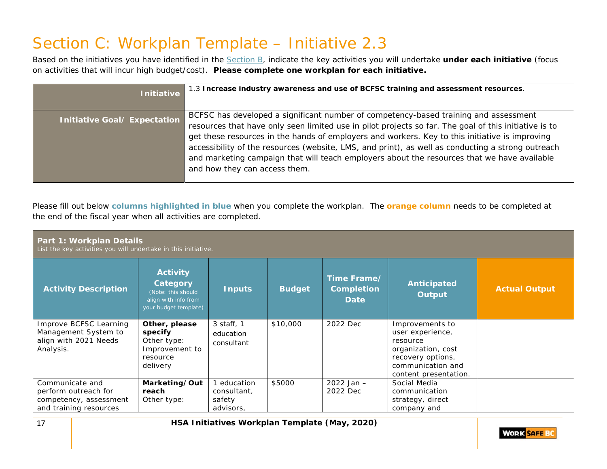### Section C: Workplan Template – Initiative 2.3

Based on the initiatives you have identified in the Section B, indicate the key activities you will undertake **under each initiative** (focus on activities that will incur high budget/cost). **Please complete one workplan for each initiative.** 

| <b>Initiative</b>           | 1.3 Increase industry awareness and use of BCFSC training and assessment resources.                                                                                                                                                                                                                                                                                                                                                                                                                                                  |
|-----------------------------|--------------------------------------------------------------------------------------------------------------------------------------------------------------------------------------------------------------------------------------------------------------------------------------------------------------------------------------------------------------------------------------------------------------------------------------------------------------------------------------------------------------------------------------|
| Initiative Goal/Expectation | BCFSC has developed a significant number of competency-based training and assessment<br>resources that have only seen limited use in pilot projects so far. The goal of this initiative is to<br>get these resources in the hands of employers and workers. Key to this initiative is improving<br>accessibility of the resources (website, LMS, and print), as well as conducting a strong outreach<br>and marketing campaign that will teach employers about the resources that we have available<br>and how they can access them. |

Please fill out below **columns highlighted in blue** when you complete the workplan. The **orange column** needs to be completed at the end of the fiscal year when all activities are completed.

| Part 1: Workplan Details<br>List the key activities you will undertake in this initiative.  |                                                                                                    |                                                   |               |                                                 |                                                                                                                                          |                      |
|---------------------------------------------------------------------------------------------|----------------------------------------------------------------------------------------------------|---------------------------------------------------|---------------|-------------------------------------------------|------------------------------------------------------------------------------------------------------------------------------------------|----------------------|
| <b>Activity Description</b>                                                                 | <b>Activity</b><br>Category<br>(Note: this should<br>align with info from<br>your budget template) | <b>Inputs</b>                                     | <b>Budget</b> | Time Frame/<br><b>Completion</b><br><b>Date</b> | <b>Anticipated</b><br>Output                                                                                                             | <b>Actual Output</b> |
| Improve BCFSC Learning<br>Management System to<br>align with 2021 Needs<br>Analysis.        | Other, please<br>specify<br>Other type:<br>Improvement to<br>resource<br>delivery                  | 3 staff, 1<br>education<br>consultant             | \$10,000      | 2022 Dec                                        | Improvements to<br>user experience,<br>resource<br>organization, cost<br>recovery options,<br>communication and<br>content presentation. |                      |
| Communicate and<br>perform outreach for<br>competency, assessment<br>and training resources | Marketing/Out<br>reach<br>Other type:                                                              | 1 education<br>consultant,<br>safety<br>advisors, | \$5000        | $2022$ Jan $-$<br>2022 Dec                      | Social Media<br>communication<br>strategy, direct<br>company and                                                                         |                      |

**HSA Initiatives Workplan Template (May, 2020)** 

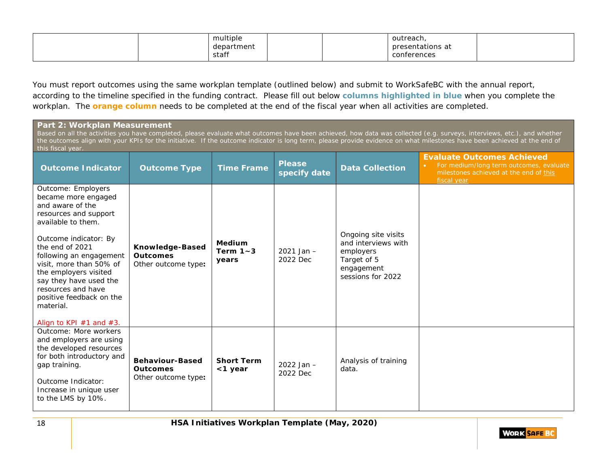| multiple<br>department | outreach,<br>presentations at |  |
|------------------------|-------------------------------|--|
| staff                  | conferences                   |  |

| Part 2: Workplan Measurement<br>this fiscal year.                                                                                                                                                                                                                                                                                                           |                                                                  |                                        |                               |                                                                                                           | Based on all the activities you have completed, please evaluate what outcomes have been achieved, how data was collected (e.g. surveys, interviews, etc.), and whether<br>the outcomes align with your KPIs for the initiative. If the outcome indicator is long term, please provide evidence on what milestones have been achieved at the end of |
|-------------------------------------------------------------------------------------------------------------------------------------------------------------------------------------------------------------------------------------------------------------------------------------------------------------------------------------------------------------|------------------------------------------------------------------|----------------------------------------|-------------------------------|-----------------------------------------------------------------------------------------------------------|----------------------------------------------------------------------------------------------------------------------------------------------------------------------------------------------------------------------------------------------------------------------------------------------------------------------------------------------------|
| <b>Outcome Indicator</b>                                                                                                                                                                                                                                                                                                                                    | <b>Outcome Type</b>                                              | <b>Time Frame</b>                      | <b>Please</b><br>specify date | <b>Data Collection</b>                                                                                    | <b>Evaluate Outcomes Achieved</b><br>For medium/long term outcomes, evaluate<br>milestones achieved at the end of this<br>fiscal year                                                                                                                                                                                                              |
| Outcome: Employers<br>became more engaged<br>and aware of the<br>resources and support<br>available to them.<br>Outcome indicator: By<br>the end of 2021<br>following an engagement<br>visit, more than 50% of<br>the employers visited<br>say they have used the<br>resources and have<br>positive feedback on the<br>material.<br>Align to KPI #1 and #3. | Knowledge-Based<br><b>Outcomes</b><br>Other outcome type:        | <b>Medium</b><br>Term $1 - 3$<br>years | $2021$ Jan $-$<br>2022 Dec    | Ongoing site visits<br>and interviews with<br>employers<br>Target of 5<br>engagement<br>sessions for 2022 |                                                                                                                                                                                                                                                                                                                                                    |
| Outcome: More workers<br>and employers are using<br>the developed resources<br>for both introductory and<br>gap training.<br>Outcome Indicator:<br>Increase in unique user<br>to the LMS by 10%.                                                                                                                                                            | <b>Behaviour-Based</b><br><b>Outcomes</b><br>Other outcome type: | <b>Short Term</b><br><1 year           | $2022$ Jan $-$<br>2022 Dec    | Analysis of training<br>data.                                                                             |                                                                                                                                                                                                                                                                                                                                                    |

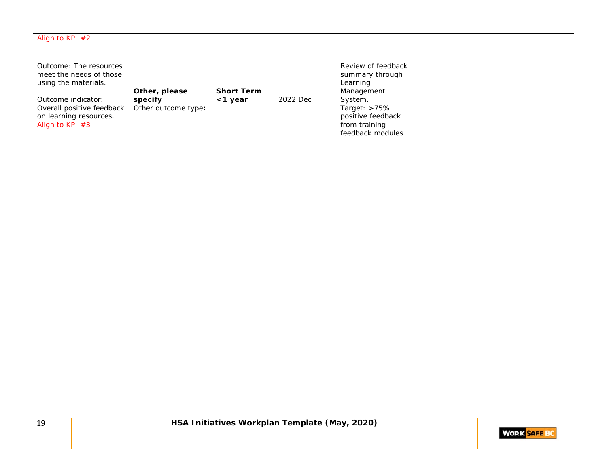| Align to KPI $#2$                                                                                                                                                           |                                                 |                                 |          |                                                                                                                                                         |  |
|-----------------------------------------------------------------------------------------------------------------------------------------------------------------------------|-------------------------------------------------|---------------------------------|----------|---------------------------------------------------------------------------------------------------------------------------------------------------------|--|
| Outcome: The resources<br>meet the needs of those<br>using the materials.<br>Outcome indicator:<br>Overall positive feedback<br>on learning resources.<br>Align to KPI $#3$ | Other, please<br>specify<br>Other outcome type: | <b>Short Term</b><br>$<$ 1 year | 2022 Dec | Review of feedback<br>summary through<br>Learning<br>Management<br>System.<br>Target: $>75\%$<br>positive feedback<br>from training<br>feedback modules |  |

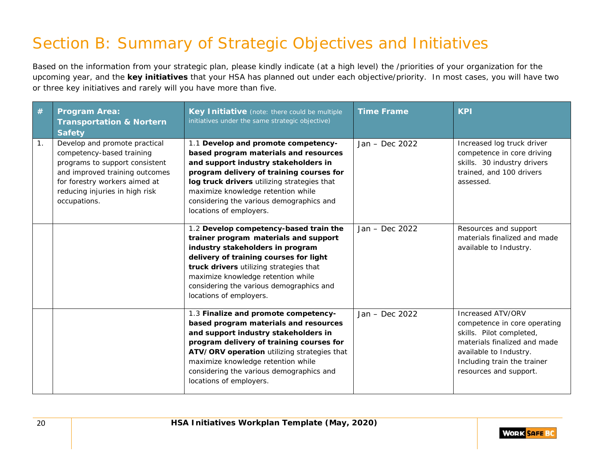## Section B: Summary of Strategic Objectives and Initiatives

Based on the information from your strategic plan, please kindly indicate (at a high level) the /priorities of your organization for the upcoming year, and the **key initiatives** that your HSA has planned out under each objective/priority. In most cases, you will have two or three key initiatives and rarely will you have more than five.

| #              | <b>Program Area:</b><br><b>Transportation &amp; Nortern</b><br><b>Safety</b>                                                                                                                                      | Key Initiative (note: there could be multiple<br>initiatives under the same strategic objective)                                                                                                                                                                                                                              | <b>Time Frame</b> | <b>KPI</b>                                                                                                                                                                                       |
|----------------|-------------------------------------------------------------------------------------------------------------------------------------------------------------------------------------------------------------------|-------------------------------------------------------------------------------------------------------------------------------------------------------------------------------------------------------------------------------------------------------------------------------------------------------------------------------|-------------------|--------------------------------------------------------------------------------------------------------------------------------------------------------------------------------------------------|
| $\mathbf{1}$ . | Develop and promote practical<br>competency-based training<br>programs to support consistent<br>and improved training outcomes<br>for forestry workers aimed at<br>reducing injuries in high risk<br>occupations. | 1.1 Develop and promote competency-<br>based program materials and resources<br>and support industry stakeholders in<br>program delivery of training courses for<br>log truck drivers utilizing strategies that<br>maximize knowledge retention while<br>considering the various demographics and<br>locations of employers.  | Jan - Dec 2022    | Increased log truck driver<br>competence in core driving<br>skills. 30 industry drivers<br>trained, and 100 drivers<br>assessed.                                                                 |
|                |                                                                                                                                                                                                                   | 1.2 Develop competency-based train the<br>trainer program materials and support<br>industry stakeholders in program<br>delivery of training courses for light<br>truck drivers utilizing strategies that<br>maximize knowledge retention while<br>considering the various demographics and<br>locations of employers.         | Jan - Dec 2022    | Resources and support<br>materials finalized and made<br>available to Industry.                                                                                                                  |
|                |                                                                                                                                                                                                                   | 1.3 Finalize and promote competency-<br>based program materials and resources<br>and support industry stakeholders in<br>program delivery of training courses for<br>ATV/ORV operation utilizing strategies that<br>maximize knowledge retention while<br>considering the various demographics and<br>locations of employers. | Jan - Dec 2022    | Increased ATV/ORV<br>competence in core operating<br>skills. Pilot completed,<br>materials finalized and made<br>available to Industry.<br>Including train the trainer<br>resources and support. |

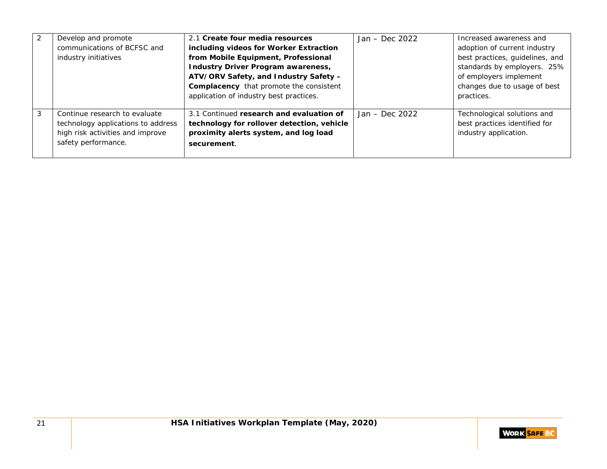|   | Develop and promote                | 2.1 Create four media resources                | Jan - Dec 2022 | Increased awareness and         |
|---|------------------------------------|------------------------------------------------|----------------|---------------------------------|
|   | communications of BCFSC and        | including videos for Worker Extraction         |                | adoption of current industry    |
|   | <i>industry initiatives</i>        | from Mobile Equipment, Professional            |                | best practices, guidelines, and |
|   |                                    | Industry Driver Program awareness,             |                | standards by employers. 25%     |
|   |                                    | ATV/ORV Safety, and Industry Safety -          |                | of employers implement          |
|   |                                    | <b>Complacency</b> that promote the consistent |                | changes due to usage of best    |
|   |                                    | application of industry best practices.        |                | <i>practices.</i>               |
|   |                                    |                                                |                |                                 |
| 3 | Continue research to evaluate      | 3.1 Continued research and evaluation of       | Jan – Dec 2022 | Technological solutions and     |
|   | technology applications to address | technology for rollover detection, vehicle     |                | best practices identified for   |
|   | high risk activities and improve   | proximity alerts system, and log load          |                | industry application.           |
|   | safety performance.                | securement.                                    |                |                                 |
|   |                                    |                                                |                |                                 |

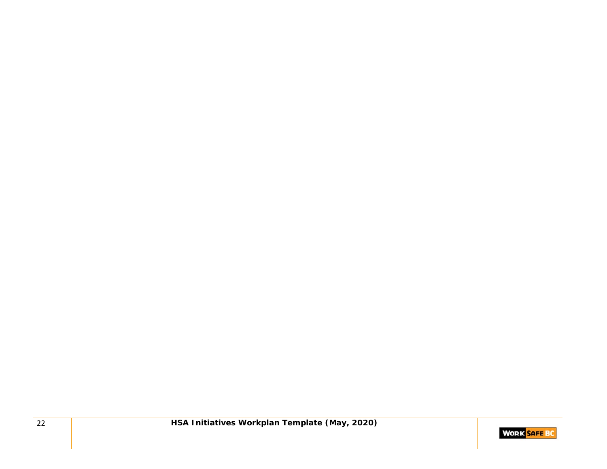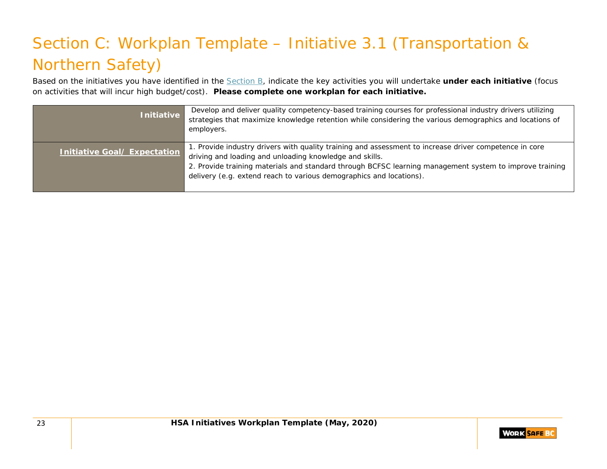# Section C: Workplan Template – Initiative 3.1 (Transportation & Northern Safety)

Based on the initiatives you have identified in the Section B, indicate the key activities you will undertake **under each initiative** (focus on activities that will incur high budget/cost). **Please complete one workplan for each initiative.** 

| <b>Initiative</b>            | Develop and deliver quality competency-based training courses for professional industry drivers utilizing<br>strategies that maximize knowledge retention while considering the various demographics and locations of<br>employers.                                                                                                                 |
|------------------------------|-----------------------------------------------------------------------------------------------------------------------------------------------------------------------------------------------------------------------------------------------------------------------------------------------------------------------------------------------------|
| Initiative Goal/ Expectation | 1. Provide industry drivers with quality training and assessment to increase driver competence in core<br>driving and loading and unloading knowledge and skills.<br>2. Provide training materials and standard through BCFSC learning management system to improve training<br>delivery (e.g. extend reach to various demographics and locations). |

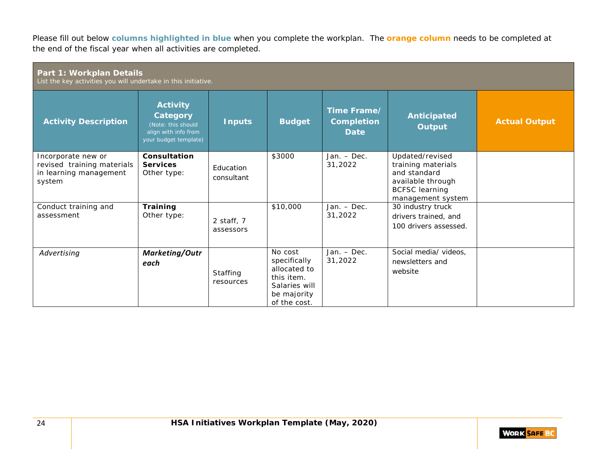| Part 1: Workplan Details<br>List the key activities you will undertake in this initiative. |                                                                                                    |                             |                                                                                                       |                                                 |                                                                                                                          |                      |
|--------------------------------------------------------------------------------------------|----------------------------------------------------------------------------------------------------|-----------------------------|-------------------------------------------------------------------------------------------------------|-------------------------------------------------|--------------------------------------------------------------------------------------------------------------------------|----------------------|
| <b>Activity Description</b>                                                                | <b>Activity</b><br>Category<br>(Note: this should<br>align with info from<br>your budget template) | <b>Inputs</b>               | <b>Budget</b>                                                                                         | Time Frame/<br><b>Completion</b><br><b>Date</b> | <b>Anticipated</b><br><b>Output</b>                                                                                      | <b>Actual Output</b> |
| Incorporate new or<br>revised training materials<br>in learning management<br>system       | Consultation<br><b>Services</b><br>Other type:                                                     | Education<br>consultant     | \$3000                                                                                                | Jan. – Dec.<br>31,2022                          | Updated/revised<br>training materials<br>and standard<br>available through<br><b>BCFSC</b> learning<br>management system |                      |
| Conduct training and<br>assessment                                                         | <b>Training</b><br>Other type:                                                                     | $2$ staff, $7$<br>assessors | \$10,000                                                                                              | Jan. - Dec.<br>31,2022                          | 30 industry truck<br>drivers trained, and<br>100 drivers assessed.                                                       |                      |
| Advertising                                                                                | Marketing/Outr<br>each                                                                             | Staffing<br>resources       | No cost<br>specifically<br>allocated to<br>this item.<br>Salaries will<br>be majority<br>of the cost. | $Jan. - Dec.$<br>31,2022                        | Social media/ videos.<br>newsletters and<br>website                                                                      |                      |

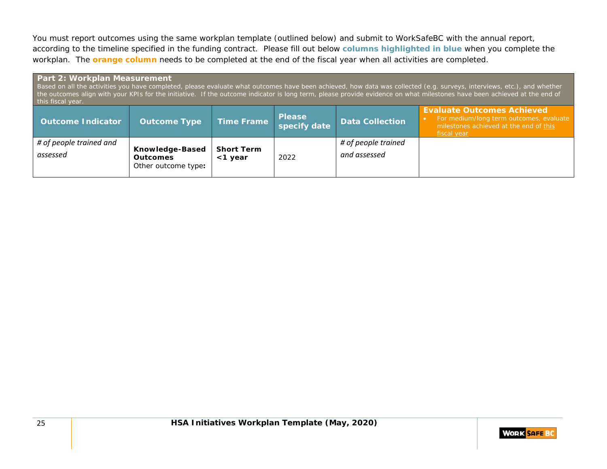| Part 2: Workplan Measurement<br>this fiscal year. |                                                           |                              |                               |                                     | Based on all the activities you have completed, please evaluate what outcomes have been achieved, how data was collected (e.g. surveys, interviews, etc.), and whether<br>the outcomes align with your KPIs for the initiative. If the outcome indicator is long term, please provide evidence on what milestones have been achieved at the end of |
|---------------------------------------------------|-----------------------------------------------------------|------------------------------|-------------------------------|-------------------------------------|----------------------------------------------------------------------------------------------------------------------------------------------------------------------------------------------------------------------------------------------------------------------------------------------------------------------------------------------------|
| <b>Outcome Indicator</b>                          | <b>Outcome Type</b>                                       | <b>Time Frame</b>            | <b>Please</b><br>specify date | Data Collection                     | <b>Evaluate Outcomes Achieved</b><br>For medium/long term outcomes, evaluate<br>milestones achieved at the end of this<br>fiscal year                                                                                                                                                                                                              |
| # of people trained and<br>assessed               | Knowledge-Based<br><b>Outcomes</b><br>Other outcome type: | <b>Short Term</b><br><1 year | 2022                          | # of people trained<br>and assessed |                                                                                                                                                                                                                                                                                                                                                    |

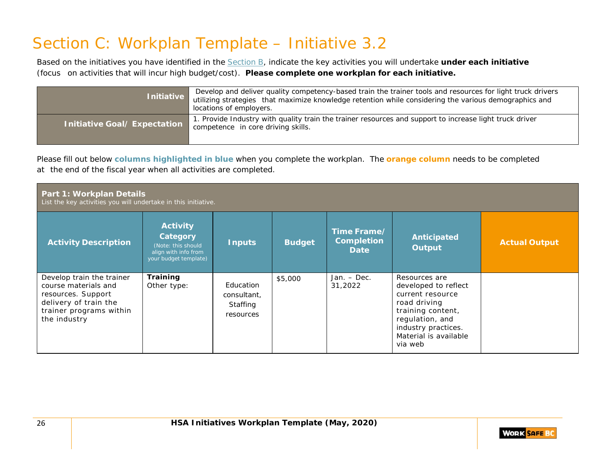### Section C: Workplan Template – Initiative 3.2

Based on the initiatives you have identified in the Section B, indicate the key activities you will undertake **under each initiative**  (focus on activities that will incur high budget/cost). **Please complete one workplan for each initiative.**

| Initiative                  | Develop and deliver quality competency-based train the trainer tools and resources for light truck drivers<br>utilizing strategies that maximize knowledge retention while considering the various demographics and<br>locations of employers. |
|-----------------------------|------------------------------------------------------------------------------------------------------------------------------------------------------------------------------------------------------------------------------------------------|
| Initiative Goal/Expectation | 1. Provide Industry with quality train the trainer resources and support to increase light truck driver<br>competence in core driving skills.                                                                                                  |

| Part 1: Workplan Details<br>List the key activities you will undertake in this initiative.                                                  |                                                                                                    |                                                   |               |                                                 |                                                                                                                                                                              |                      |  |
|---------------------------------------------------------------------------------------------------------------------------------------------|----------------------------------------------------------------------------------------------------|---------------------------------------------------|---------------|-------------------------------------------------|------------------------------------------------------------------------------------------------------------------------------------------------------------------------------|----------------------|--|
| <b>Activity Description</b>                                                                                                                 | <b>Activity</b><br>Category<br>(Note: this should<br>align with info from<br>your budget template) | <b>Inputs</b>                                     | <b>Budget</b> | Time Frame/<br><b>Completion</b><br><b>Date</b> | Anticipated<br>Output                                                                                                                                                        | <b>Actual Output</b> |  |
| Develop train the trainer<br>course materials and<br>resources. Support<br>delivery of train the<br>trainer programs within<br>the industry | Training<br>Other type:                                                                            | Education<br>consultant,<br>Staffing<br>resources | \$5,000       | Jan. $-$ Dec.<br>31,2022                        | Resources are<br>developed to reflect<br>current resource<br>road driving<br>training content,<br>regulation, and<br>industry practices.<br>Material is available<br>via web |                      |  |

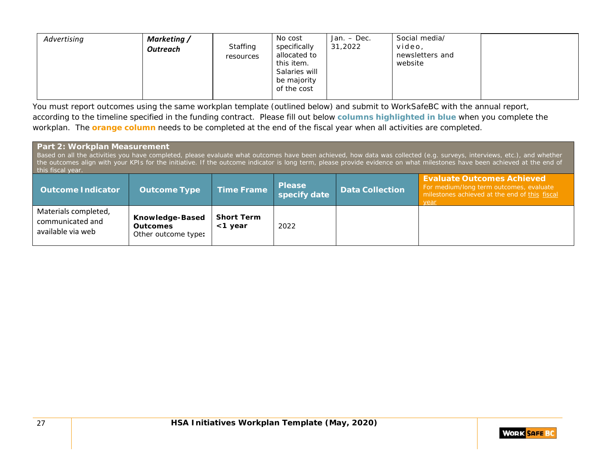| Advertising | Marketing /<br><b>Staffing</b><br><b>Outreach</b><br>resources | No cost<br>specifically<br>allocated to<br>this item.<br>Salaries will<br>be majority<br>of the cost | $Jan. - Dec.$<br>31,2022 | Social media/<br>video,<br>newsletters and<br>website |  |
|-------------|----------------------------------------------------------------|------------------------------------------------------------------------------------------------------|--------------------------|-------------------------------------------------------|--|
|-------------|----------------------------------------------------------------|------------------------------------------------------------------------------------------------------|--------------------------|-------------------------------------------------------|--|

| Part 2: Workplan Measurement<br>Based on all the activities you have completed, please evaluate what outcomes have been achieved, how data was collected (e.g. surveys, interviews, etc.), and whether<br>the outcomes align with your KPIs for the initiative. If the outcome indicator is long term, please provide evidence on what milestones have been achieved at the end of<br>this fiscal year. |                                                                  |                              |                               |                        |                                                                                                                                       |  |  |
|---------------------------------------------------------------------------------------------------------------------------------------------------------------------------------------------------------------------------------------------------------------------------------------------------------------------------------------------------------------------------------------------------------|------------------------------------------------------------------|------------------------------|-------------------------------|------------------------|---------------------------------------------------------------------------------------------------------------------------------------|--|--|
| <b>Outcome Indicator</b>                                                                                                                                                                                                                                                                                                                                                                                | <b>Outcome Type</b>                                              | <b>Time Frame</b>            | <b>Please</b><br>specify date | <b>Data Collection</b> | <b>Evaluate Outcomes Achieved</b><br>For medium/long term outcomes, evaluate<br>milestones achieved at the end of this fiscal<br>year |  |  |
| Materials completed,<br>communicated and<br>available via web                                                                                                                                                                                                                                                                                                                                           | <b>Knowledge-Based</b><br><b>Outcomes</b><br>Other outcome type: | <b>Short Term</b><br><1 year | 2022                          |                        |                                                                                                                                       |  |  |

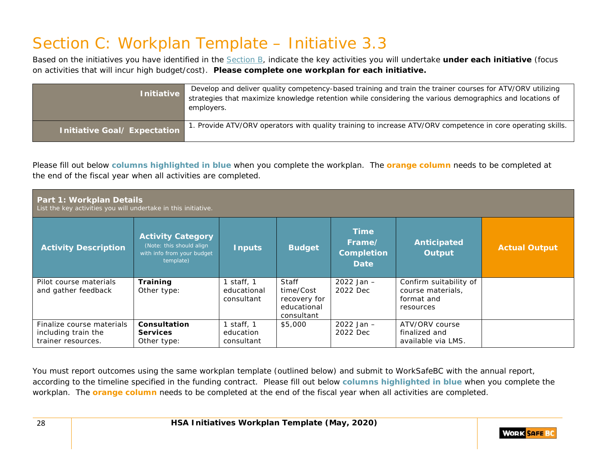## Section C: Workplan Template – Initiative 3.3

Based on the initiatives you have identified in the Section B, indicate the key activities you will undertake **under each initiative** (focus on activities that will incur high budget/cost). **Please complete one workplan for each initiative.** 

| <b>Initiative</b>            | Develop and deliver quality competency-based training and train the trainer courses for ATV/ORV utilizing<br>strategies that maximize knowledge retention while considering the various demographics and locations of<br>employers. |
|------------------------------|-------------------------------------------------------------------------------------------------------------------------------------------------------------------------------------------------------------------------------------|
| Initiative Goal/ Expectation | 1. Provide ATV/ORV operators with quality training to increase ATV/ORV competence in core operating skills.                                                                                                                         |

Please fill out below **columns highlighted in blue** when you complete the workplan. The **orange column** needs to be completed at the end of the fiscal year when all activities are completed.

| Part 1: Workplan Details<br>List the key activities you will undertake in this initiative. |                                                                                                         |                           |                           |                                                    |                                 |                      |
|--------------------------------------------------------------------------------------------|---------------------------------------------------------------------------------------------------------|---------------------------|---------------------------|----------------------------------------------------|---------------------------------|----------------------|
| <b>Activity Description</b>                                                                | <b>Activity Category</b><br>(Note: this should align<br>with info from your budget<br><i>template</i> ) | <b>Inputs</b>             | <b>Budget</b>             | <b>Time</b><br>Frame/<br><b>Completion</b><br>Date | Anticipated<br>Output           | <b>Actual Output</b> |
| Pilot course materials                                                                     | Training                                                                                                | staff, 1                  | <b>Staff</b>              | $2022$ Jan $-$                                     | Confirm suitability of          |                      |
| and gather feedback                                                                        | Other type:                                                                                             | educational<br>consultant | time/Cost<br>recovery for | 2022 Dec                                           | course materials,<br>format and |                      |
|                                                                                            |                                                                                                         |                           | educational<br>consultant |                                                    | resources                       |                      |
| Finalize course materials                                                                  | Consultation                                                                                            | 1 staff, 1                | \$5,000                   | $2022$ Jan $-$                                     | ATV/ORV course                  |                      |
| including train the                                                                        | <b>Services</b>                                                                                         | education                 |                           | 2022 Dec                                           | finalized and                   |                      |
| trainer resources.                                                                         | Other type:                                                                                             | consultant                |                           |                                                    | available via LMS.              |                      |

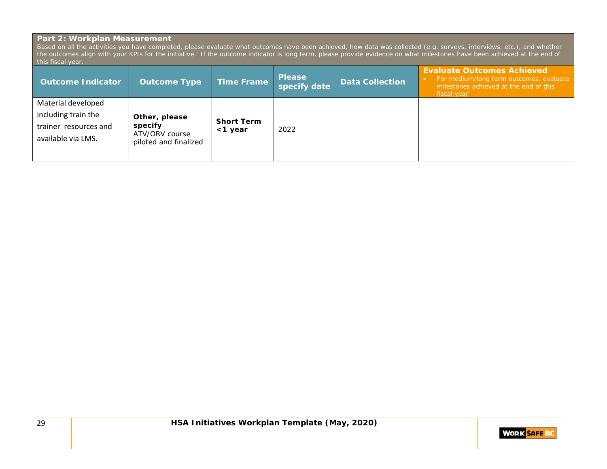#### **Part 2: Workplan Measurement**

Based on all the activities you have completed, please evaluate what outcomes have been achieved, how data was collected (e.g. surveys, interviews, etc.), and whether the outcomes align with your KPIs for the initiative. If the outcome indicator is long term, please provide evidence on what milestones have been achieved at the end of this fiscal year.

| <b>Outcome Indicator</b> | <b>Outcome Type</b>                     | <b>Time Frame</b> | <b>Please</b><br>specify date | <b>Data Collection</b> | <b>Evaluate Outcomes Achieved</b><br>For medium/long term outcomes, evaluate<br>milestones achieved at the end of this<br>fiscal year |
|--------------------------|-----------------------------------------|-------------------|-------------------------------|------------------------|---------------------------------------------------------------------------------------------------------------------------------------|
| Material developed       |                                         |                   |                               |                        |                                                                                                                                       |
| including train the      | Other, please                           | <b>Short Term</b> |                               |                        |                                                                                                                                       |
| trainer resources and    | specify                                 | $<$ 1 year        | 2022                          |                        |                                                                                                                                       |
| available via LMS.       | ATV/ORV course<br>piloted and finalized |                   |                               |                        |                                                                                                                                       |
|                          |                                         |                   |                               |                        |                                                                                                                                       |

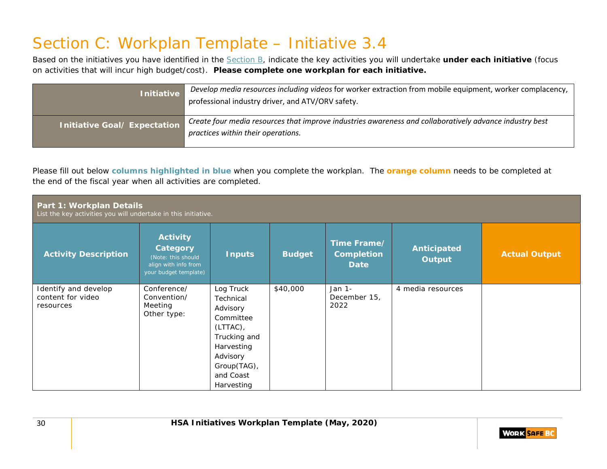### Section C: Workplan Template – Initiative 3.4

Based on the initiatives you have identified in the Section B, indicate the key activities you will undertake **under each initiative** (focus on activities that will incur high budget/cost). **Please complete one workplan for each initiative.** 

| <b>Initiative</b>           | Develop media resources including videos for worker extraction from mobile equipment, worker complacency,<br>professional industry driver, and ATV/ORV safety. |
|-----------------------------|----------------------------------------------------------------------------------------------------------------------------------------------------------------|
| Initiative Goal/Expectation | Create four media resources that improve industries awareness and collaboratively advance industry best<br>practices within their operations.                  |

| Part 1: Workplan Details<br>List the key activities you will undertake in this initiative. |                                                                                                           |                                                                                                                                                    |               |                                                 |                              |                      |  |
|--------------------------------------------------------------------------------------------|-----------------------------------------------------------------------------------------------------------|----------------------------------------------------------------------------------------------------------------------------------------------------|---------------|-------------------------------------------------|------------------------------|----------------------|--|
| <b>Activity Description</b>                                                                | <b>Activity</b><br><b>Category</b><br>(Note: this should<br>align with info from<br>your budget template) | <b>Inputs</b>                                                                                                                                      | <b>Budget</b> | Time Frame/<br><b>Completion</b><br><b>Date</b> | Anticipated<br><b>Output</b> | <b>Actual Output</b> |  |
| Identify and develop<br>content for video<br>resources                                     | Conference/<br>Convention/<br>Meeting<br>Other type:                                                      | Log Truck<br>Technical<br>Advisory<br>Committee<br>$(LTTAC)$ ,<br>Trucking and<br>Harvesting<br>Advisory<br>Group(TAG),<br>and Coast<br>Harvesting | \$40,000      | $Jan 1-$<br>December 15,<br>2022                | 4 media resources            |                      |  |